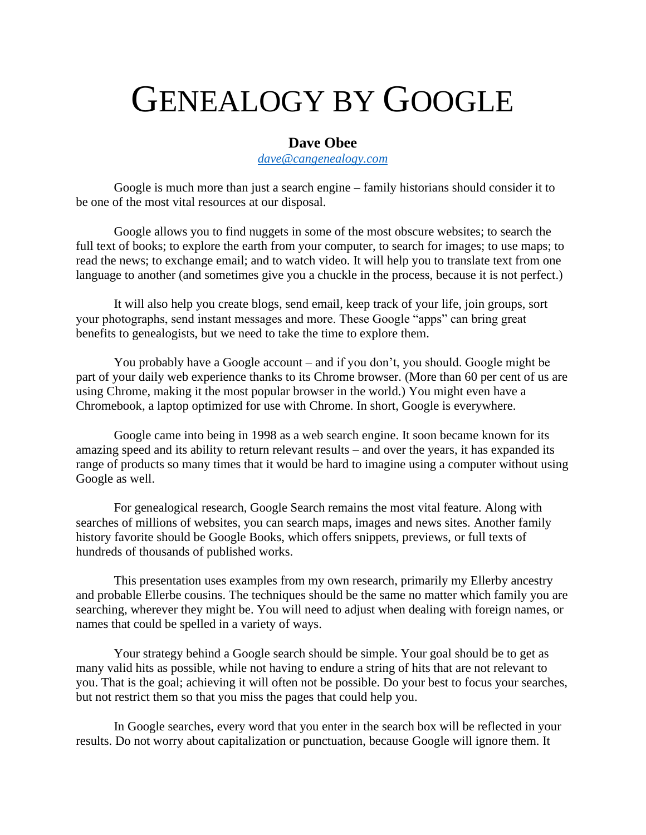## GENEALOGY BY GOOGLE

## **Dave Obee**

*[dave@cangenealogy.com](mailto:dave@cangenealogy.com)*

Google is much more than just a search engine – family historians should consider it to be one of the most vital resources at our disposal.

Google allows you to find nuggets in some of the most obscure websites; to search the full text of books; to explore the earth from your computer, to search for images; to use maps; to read the news; to exchange email; and to watch video. It will help you to translate text from one language to another (and sometimes give you a chuckle in the process, because it is not perfect.)

It will also help you create blogs, send email, keep track of your life, join groups, sort your photographs, send instant messages and more. These Google "apps" can bring great benefits to genealogists, but we need to take the time to explore them.

You probably have a Google account – and if you don't, you should. Google might be part of your daily web experience thanks to its Chrome browser. (More than 60 per cent of us are using Chrome, making it the most popular browser in the world.) You might even have a Chromebook, a laptop optimized for use with Chrome. In short, Google is everywhere.

Google came into being in 1998 as a web search engine. It soon became known for its amazing speed and its ability to return relevant results – and over the years, it has expanded its range of products so many times that it would be hard to imagine using a computer without using Google as well.

For genealogical research, Google Search remains the most vital feature. Along with searches of millions of websites, you can search maps, images and news sites. Another family history favorite should be Google Books, which offers snippets, previews, or full texts of hundreds of thousands of published works.

This presentation uses examples from my own research, primarily my Ellerby ancestry and probable Ellerbe cousins. The techniques should be the same no matter which family you are searching, wherever they might be. You will need to adjust when dealing with foreign names, or names that could be spelled in a variety of ways.

Your strategy behind a Google search should be simple. Your goal should be to get as many valid hits as possible, while not having to endure a string of hits that are not relevant to you. That is the goal; achieving it will often not be possible. Do your best to focus your searches, but not restrict them so that you miss the pages that could help you.

In Google searches, every word that you enter in the search box will be reflected in your results. Do not worry about capitalization or punctuation, because Google will ignore them. It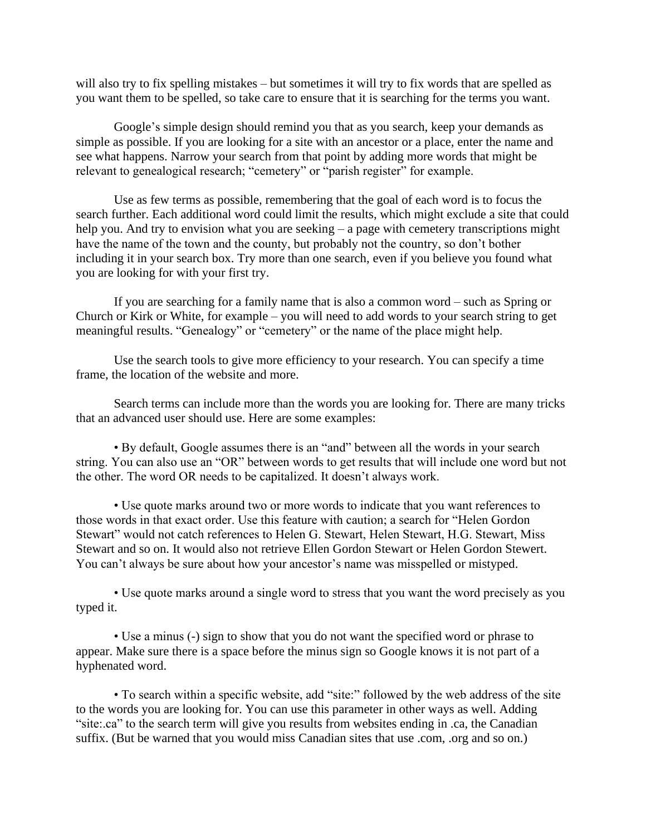will also try to fix spelling mistakes – but sometimes it will try to fix words that are spelled as you want them to be spelled, so take care to ensure that it is searching for the terms you want.

Google's simple design should remind you that as you search, keep your demands as simple as possible. If you are looking for a site with an ancestor or a place, enter the name and see what happens. Narrow your search from that point by adding more words that might be relevant to genealogical research; "cemetery" or "parish register" for example.

Use as few terms as possible, remembering that the goal of each word is to focus the search further. Each additional word could limit the results, which might exclude a site that could help you. And try to envision what you are seeking – a page with cemetery transcriptions might have the name of the town and the county, but probably not the country, so don't bother including it in your search box. Try more than one search, even if you believe you found what you are looking for with your first try.

If you are searching for a family name that is also a common word – such as Spring or Church or Kirk or White, for example – you will need to add words to your search string to get meaningful results. "Genealogy" or "cemetery" or the name of the place might help.

Use the search tools to give more efficiency to your research. You can specify a time frame, the location of the website and more.

Search terms can include more than the words you are looking for. There are many tricks that an advanced user should use. Here are some examples:

• By default, Google assumes there is an "and" between all the words in your search string. You can also use an "OR" between words to get results that will include one word but not the other. The word OR needs to be capitalized. It doesn't always work.

• Use quote marks around two or more words to indicate that you want references to those words in that exact order. Use this feature with caution; a search for "Helen Gordon Stewart" would not catch references to Helen G. Stewart, Helen Stewart, H.G. Stewart, Miss Stewart and so on. It would also not retrieve Ellen Gordon Stewart or Helen Gordon Stewert. You can't always be sure about how your ancestor's name was misspelled or mistyped.

• Use quote marks around a single word to stress that you want the word precisely as you typed it.

• Use a minus (-) sign to show that you do not want the specified word or phrase to appear. Make sure there is a space before the minus sign so Google knows it is not part of a hyphenated word.

• To search within a specific website, add "site:" followed by the web address of the site to the words you are looking for. You can use this parameter in other ways as well. Adding "site:.ca" to the search term will give you results from websites ending in .ca, the Canadian suffix. (But be warned that you would miss Canadian sites that use .com, .org and so on.)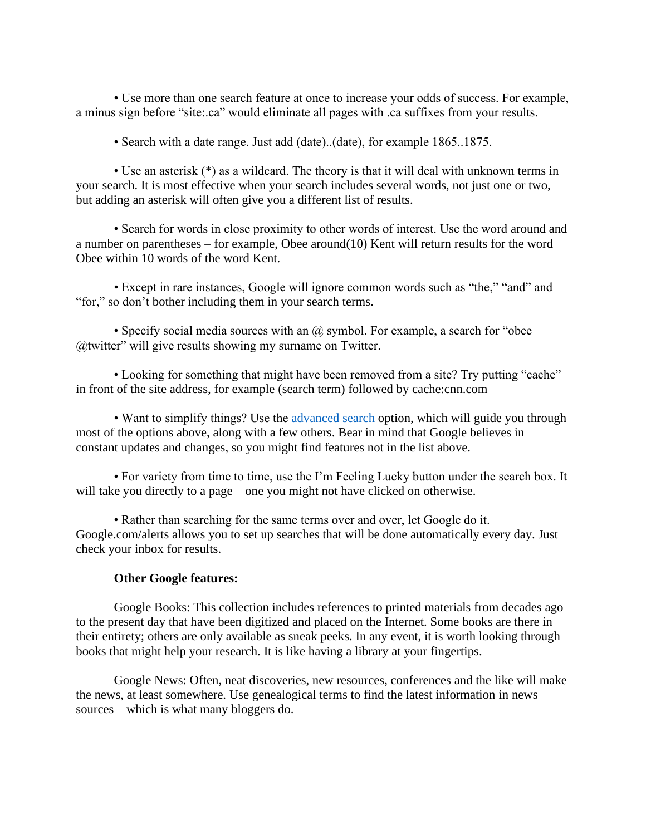• Use more than one search feature at once to increase your odds of success. For example, a minus sign before "site:.ca" would eliminate all pages with .ca suffixes from your results.

• Search with a date range. Just add (date)...(date), for example 1865...1875.

• Use an asterisk (\*) as a wildcard. The theory is that it will deal with unknown terms in your search. It is most effective when your search includes several words, not just one or two, but adding an asterisk will often give you a different list of results.

• Search for words in close proximity to other words of interest. Use the word around and a number on parentheses – for example, Obee around(10) Kent will return results for the word Obee within 10 words of the word Kent.

• Except in rare instances, Google will ignore common words such as "the," "and" and "for," so don't bother including them in your search terms.

• Specify social media sources with an  $\omega$  symbol. For example, a search for "obee" @twitter" will give results showing my surname on Twitter.

• Looking for something that might have been removed from a site? Try putting "cache" in front of the site address, for example (search term) followed by cache:cnn.com

• Want to simplify things? Use the [advanced search](https://www.google.ca/advanced_search) option, which will guide you through most of the options above, along with a few others. Bear in mind that Google believes in constant updates and changes, so you might find features not in the list above.

• For variety from time to time, use the I'm Feeling Lucky button under the search box. It will take you directly to a page – one you might not have clicked on otherwise.

• Rather than searching for the same terms over and over, let Google do it. Google.com/alerts allows you to set up searches that will be done automatically every day. Just check your inbox for results.

## **Other Google features:**

Google Books: This collection includes references to printed materials from decades ago to the present day that have been digitized and placed on the Internet. Some books are there in their entirety; others are only available as sneak peeks. In any event, it is worth looking through books that might help your research. It is like having a library at your fingertips.

Google News: Often, neat discoveries, new resources, conferences and the like will make the news, at least somewhere. Use genealogical terms to find the latest information in news sources – which is what many bloggers do.